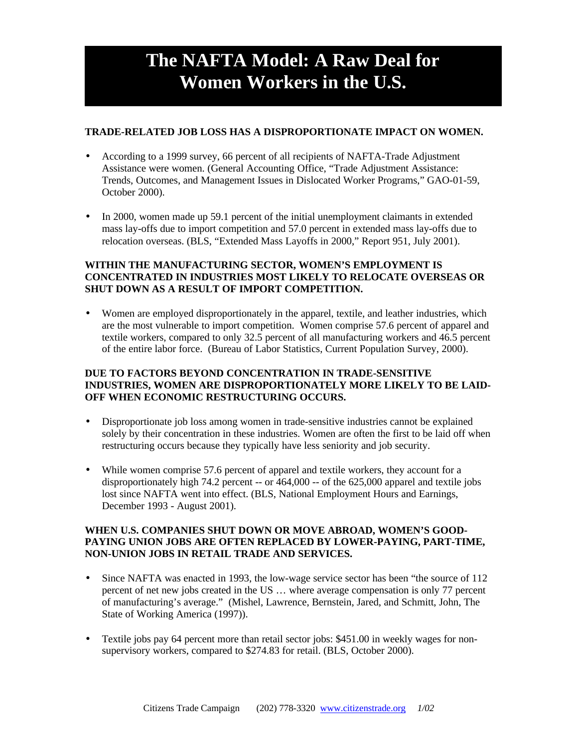# **The NAFTA Model: A Raw Deal for Women Workers in the U.S.**

## **TRADE-RELATED JOB LOSS HAS A DISPROPORTIONATE IMPACT ON WOMEN.**

- According to a 1999 survey, 66 percent of all recipients of NAFTA-Trade Adjustment Assistance were women. (General Accounting Office, "Trade Adjustment Assistance: Trends, Outcomes, and Management Issues in Dislocated Worker Programs," GAO-01-59, October 2000).
- In 2000, women made up 59.1 percent of the initial unemployment claimants in extended mass lay-offs due to import competition and 57.0 percent in extended mass lay-offs due to relocation overseas. (BLS, "Extended Mass Layoffs in 2000," Report 951, July 2001).

## **WITHIN THE MANUFACTURING SECTOR, WOMEN'S EMPLOYMENT IS CONCENTRATED IN INDUSTRIES MOST LIKELY TO RELOCATE OVERSEAS OR SHUT DOWN AS A RESULT OF IMPORT COMPETITION.**

• Women are employed disproportionately in the apparel, textile, and leather industries, which are the most vulnerable to import competition. Women comprise 57.6 percent of apparel and textile workers, compared to only 32.5 percent of all manufacturing workers and 46.5 percent of the entire labor force. (Bureau of Labor Statistics, Current Population Survey, 2000).

#### **DUE TO FACTORS BEYOND CONCENTRATION IN TRADE-SENSITIVE INDUSTRIES, WOMEN ARE DISPROPORTIONATELY MORE LIKELY TO BE LAID-OFF WHEN ECONOMIC RESTRUCTURING OCCURS.**

- Disproportionate job loss among women in trade-sensitive industries cannot be explained solely by their concentration in these industries. Women are often the first to be laid off when restructuring occurs because they typically have less seniority and job security.
- While women comprise 57.6 percent of apparel and textile workers, they account for a disproportionately high 74.2 percent -- or 464,000 -- of the 625,000 apparel and textile jobs lost since NAFTA went into effect. (BLS, National Employment Hours and Earnings, December 1993 - August 2001).

## **WHEN U.S. COMPANIES SHUT DOWN OR MOVE ABROAD, WOMEN'S GOOD-PAYING UNION JOBS ARE OFTEN REPLACED BY LOWER-PAYING, PART-TIME, NON-UNION JOBS IN RETAIL TRADE AND SERVICES.**

- Since NAFTA was enacted in 1993, the low-wage service sector has been "the source of 112 percent of net new jobs created in the US … where average compensation is only 77 percent of manufacturing's average." (Mishel, Lawrence, Bernstein, Jared, and Schmitt, John, The State of Working America (1997)).
- Textile jobs pay 64 percent more than retail sector jobs: \$451.00 in weekly wages for nonsupervisory workers, compared to \$274.83 for retail. (BLS, October 2000).